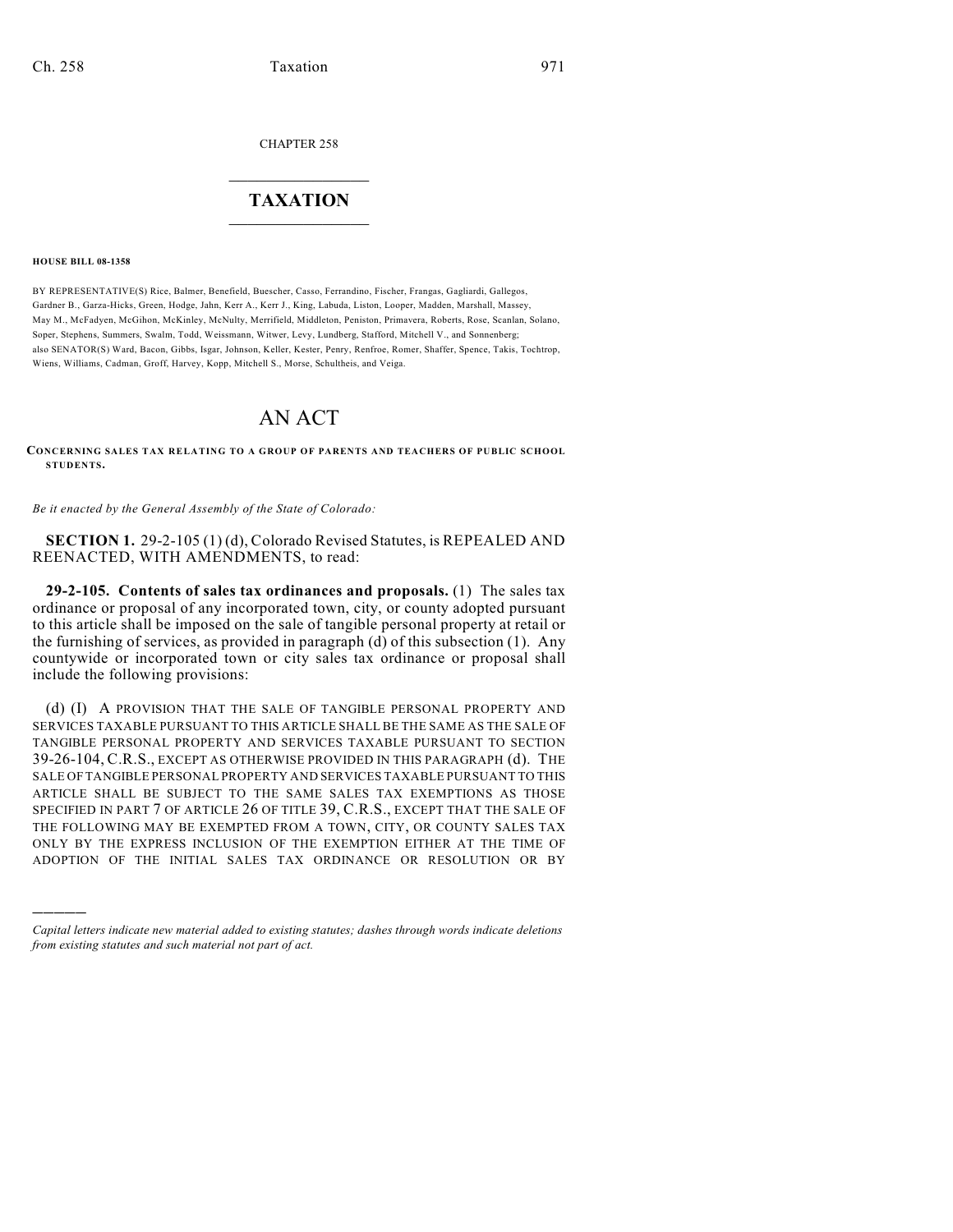CHAPTER 258

## $\mathcal{L}_\text{max}$  . The set of the set of the set of the set of the set of the set of the set of the set of the set of the set of the set of the set of the set of the set of the set of the set of the set of the set of the set **TAXATION**  $\_$

**HOUSE BILL 08-1358**

)))))

BY REPRESENTATIVE(S) Rice, Balmer, Benefield, Buescher, Casso, Ferrandino, Fischer, Frangas, Gagliardi, Gallegos, Gardner B., Garza-Hicks, Green, Hodge, Jahn, Kerr A., Kerr J., King, Labuda, Liston, Looper, Madden, Marshall, Massey, May M., McFadyen, McGihon, McKinley, McNulty, Merrifield, Middleton, Peniston, Primavera, Roberts, Rose, Scanlan, Solano, Soper, Stephens, Summers, Swalm, Todd, Weissmann, Witwer, Levy, Lundberg, Stafford, Mitchell V., and Sonnenberg; also SENATOR(S) Ward, Bacon, Gibbs, Isgar, Johnson, Keller, Kester, Penry, Renfroe, Romer, Shaffer, Spence, Takis, Tochtrop, Wiens, Williams, Cadman, Groff, Harvey, Kopp, Mitchell S., Morse, Schultheis, and Veiga.

## AN ACT

**CONCERNING SALES TAX RELATING TO A GROUP OF PARENTS AND TEACHERS OF PUBLIC SCHOOL STUDENTS.**

*Be it enacted by the General Assembly of the State of Colorado:*

**SECTION 1.** 29-2-105 (1) (d), Colorado Revised Statutes, is REPEALED AND REENACTED, WITH AMENDMENTS, to read:

**29-2-105. Contents of sales tax ordinances and proposals.** (1) The sales tax ordinance or proposal of any incorporated town, city, or county adopted pursuant to this article shall be imposed on the sale of tangible personal property at retail or the furnishing of services, as provided in paragraph (d) of this subsection (1). Any countywide or incorporated town or city sales tax ordinance or proposal shall include the following provisions:

(d) (I) A PROVISION THAT THE SALE OF TANGIBLE PERSONAL PROPERTY AND SERVICES TAXABLE PURSUANT TO THIS ARTICLE SHALL BE THE SAME AS THE SALE OF TANGIBLE PERSONAL PROPERTY AND SERVICES TAXABLE PURSUANT TO SECTION 39-26-104, C.R.S., EXCEPT AS OTHERWISE PROVIDED IN THIS PARAGRAPH (d). THE SALE OF TANGIBLE PERSONAL PROPERTY AND SERVICES TAXABLE PURSUANT TO THIS ARTICLE SHALL BE SUBJECT TO THE SAME SALES TAX EXEMPTIONS AS THOSE SPECIFIED IN PART 7 OF ARTICLE 26 OF TITLE 39, C.R.S., EXCEPT THAT THE SALE OF THE FOLLOWING MAY BE EXEMPTED FROM A TOWN, CITY, OR COUNTY SALES TAX ONLY BY THE EXPRESS INCLUSION OF THE EXEMPTION EITHER AT THE TIME OF ADOPTION OF THE INITIAL SALES TAX ORDINANCE OR RESOLUTION OR BY

*Capital letters indicate new material added to existing statutes; dashes through words indicate deletions from existing statutes and such material not part of act.*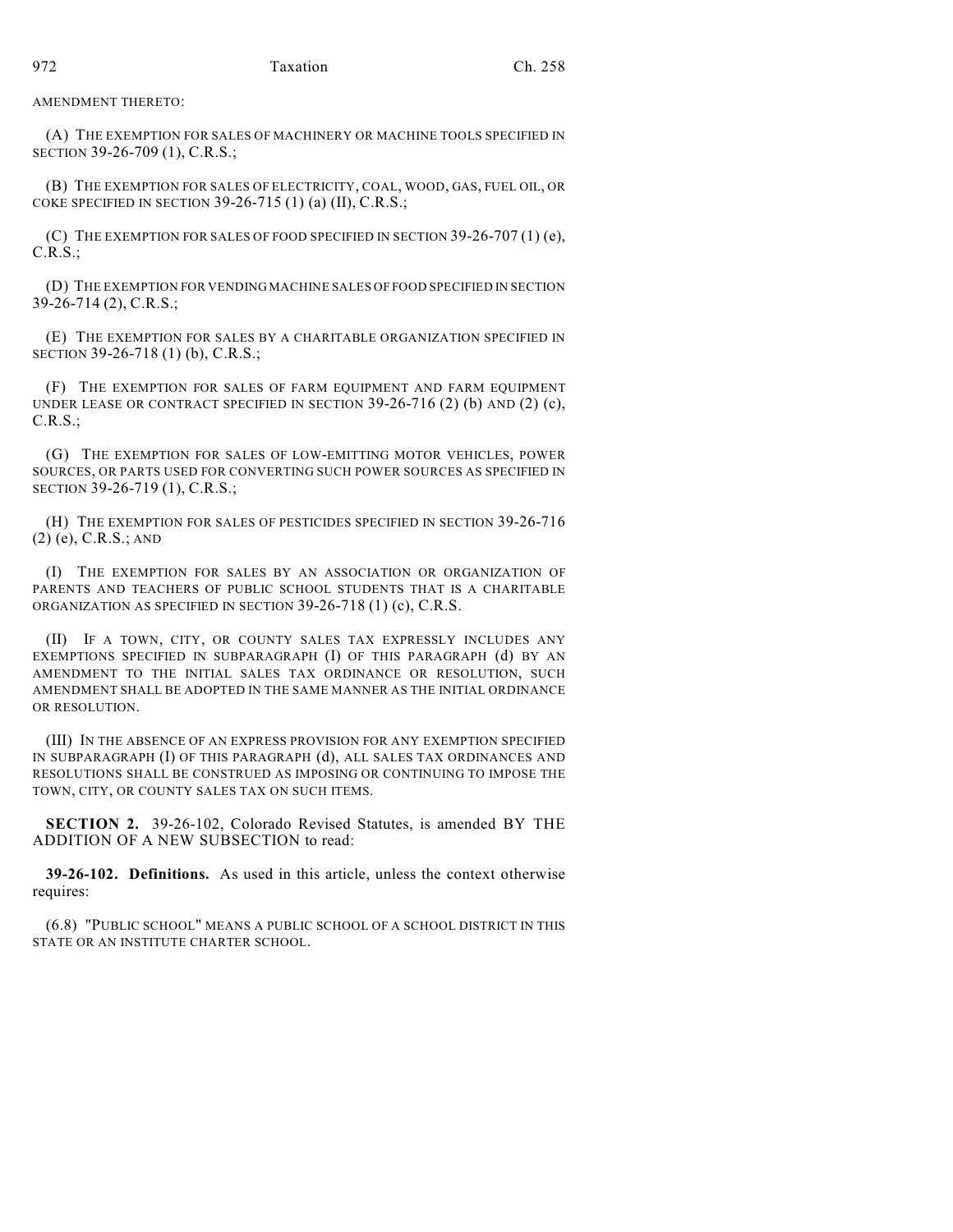AMENDMENT THERETO:

(A) THE EXEMPTION FOR SALES OF MACHINERY OR MACHINE TOOLS SPECIFIED IN SECTION 39-26-709 (1), C.R.S.;

(B) THE EXEMPTION FOR SALES OF ELECTRICITY, COAL, WOOD, GAS, FUEL OIL, OR COKE SPECIFIED IN SECTION 39-26-715 (1) (a) (II), C.R.S.;

(C) THE EXEMPTION FOR SALES OF FOOD SPECIFIED IN SECTION 39-26-707 (1) (e), C.R.S.;

(D) THE EXEMPTION FOR VENDING MACHINE SALES OF FOOD SPECIFIED IN SECTION 39-26-714 (2), C.R.S.;

(E) THE EXEMPTION FOR SALES BY A CHARITABLE ORGANIZATION SPECIFIED IN SECTION 39-26-718 (1) (b), C.R.S.;

(F) THE EXEMPTION FOR SALES OF FARM EQUIPMENT AND FARM EQUIPMENT UNDER LEASE OR CONTRACT SPECIFIED IN SECTION  $39-26-716$  (2) (b) AND (2) (c), C.R.S.;

(G) THE EXEMPTION FOR SALES OF LOW-EMITTING MOTOR VEHICLES, POWER SOURCES, OR PARTS USED FOR CONVERTING SUCH POWER SOURCES AS SPECIFIED IN SECTION 39-26-719 (1), C.R.S.;

(H) THE EXEMPTION FOR SALES OF PESTICIDES SPECIFIED IN SECTION 39-26-716 (2) (e), C.R.S.; AND

(I) THE EXEMPTION FOR SALES BY AN ASSOCIATION OR ORGANIZATION OF PARENTS AND TEACHERS OF PUBLIC SCHOOL STUDENTS THAT IS A CHARITABLE ORGANIZATION AS SPECIFIED IN SECTION 39-26-718 (1) (c), C.R.S.

(II) IF A TOWN, CITY, OR COUNTY SALES TAX EXPRESSLY INCLUDES ANY EXEMPTIONS SPECIFIED IN SUBPARAGRAPH (I) OF THIS PARAGRAPH (d) BY AN AMENDMENT TO THE INITIAL SALES TAX ORDINANCE OR RESOLUTION, SUCH AMENDMENT SHALL BE ADOPTED IN THE SAME MANNER AS THE INITIAL ORDINANCE OR RESOLUTION.

(III) IN THE ABSENCE OF AN EXPRESS PROVISION FOR ANY EXEMPTION SPECIFIED IN SUBPARAGRAPH (I) OF THIS PARAGRAPH (d), ALL SALES TAX ORDINANCES AND RESOLUTIONS SHALL BE CONSTRUED AS IMPOSING OR CONTINUING TO IMPOSE THE TOWN, CITY, OR COUNTY SALES TAX ON SUCH ITEMS.

**SECTION 2.** 39-26-102, Colorado Revised Statutes, is amended BY THE ADDITION OF A NEW SUBSECTION to read:

**39-26-102. Definitions.** As used in this article, unless the context otherwise requires:

(6.8) "PUBLIC SCHOOL" MEANS A PUBLIC SCHOOL OF A SCHOOL DISTRICT IN THIS STATE OR AN INSTITUTE CHARTER SCHOOL.